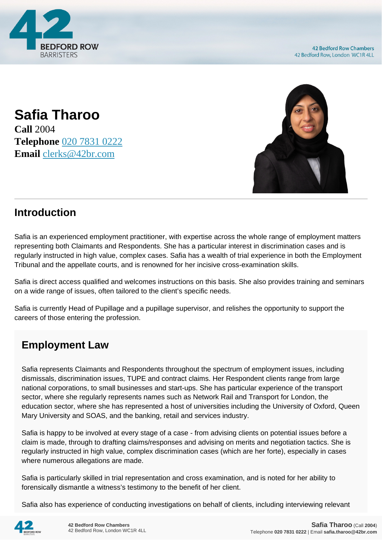

**Safia Tharoo Call** 2004 **Telephone** [020 7831 0222](https://pdf.codeshore.co/_42br/tel:020 7831 0222) **Email** [clerks@42br.com](mailto:clerks@42br.com)



### **Introduction**

Safia is an experienced employment practitioner, with expertise across the whole range of employment matters representing both Claimants and Respondents. She has a particular interest in discrimination cases and is regularly instructed in high value, complex cases. Safia has a wealth of trial experience in both the Employment Tribunal and the appellate courts, and is renowned for her incisive cross-examination skills.

Safia is direct access qualified and welcomes instructions on this basis. She also provides training and seminars on a wide range of issues, often tailored to the client's specific needs.

Safia is currently Head of Pupillage and a pupillage supervisor, and relishes the opportunity to support the careers of those entering the profession.

# **Employment Law**

Safia represents Claimants and Respondents throughout the spectrum of employment issues, including dismissals, discrimination issues, TUPE and contract claims. Her Respondent clients range from large national corporations, to small businesses and start-ups. She has particular experience of the transport sector, where she regularly represents names such as Network Rail and Transport for London, the education sector, where she has represented a host of universities including the University of Oxford, Queen Mary University and SOAS, and the banking, retail and services industry.

Safia is happy to be involved at every stage of a case - from advising clients on potential issues before a claim is made, through to drafting claims/responses and advising on merits and negotiation tactics. She is regularly instructed in high value, complex discrimination cases (which are her forte), especially in cases where numerous allegations are made.

Safia is particularly skilled in trial representation and cross examination, and is noted for her ability to forensically dismantle a witness's testimony to the benefit of her client.

Safia also has experience of conducting investigations on behalf of clients, including interviewing relevant

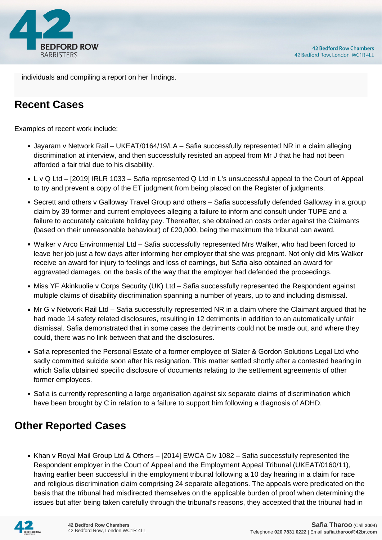



individuals and compiling a report on her findings.

# **Recent Cases**

Examples of recent work include:

- Jayaram v Network Rail UKEAT/0164/19/LA Safia successfully represented NR in a claim alleging discrimination at interview, and then successfully resisted an appeal from Mr J that he had not been afforded a fair trial due to his disability.
- L v Q Ltd [2019] IRLR 1033 Safia represented Q Ltd in L's unsuccessful appeal to the Court of Appeal to try and prevent a copy of the ET judgment from being placed on the Register of judgments.
- Secrett and others v Galloway Travel Group and others Safia successfully defended Galloway in a group claim by 39 former and current employees alleging a failure to inform and consult under TUPE and a failure to accurately calculate holiday pay. Thereafter, she obtained an costs order against the Claimants (based on their unreasonable behaviour) of £20,000, being the maximum the tribunal can award.
- Walker v Arco Environmental Ltd Safia successfully represented Mrs Walker, who had been forced to leave her job just a few days after informing her employer that she was pregnant. Not only did Mrs Walker receive an award for injury to feelings and loss of earnings, but Safia also obtained an award for aggravated damages, on the basis of the way that the employer had defended the proceedings.
- Miss YF Akinkuolie v Corps Security (UK) Ltd Safia successfully represented the Respondent against multiple claims of disability discrimination spanning a number of years, up to and including dismissal.
- Mr G v Network Rail Ltd Safia successfully represented NR in a claim where the Claimant argued that he had made 14 safety related disclosures, resulting in 12 detriments in addition to an automatically unfair dismissal. Safia demonstrated that in some cases the detriments could not be made out, and where they could, there was no link between that and the disclosures.
- Safia represented the Personal Estate of a former employee of Slater & Gordon Solutions Legal Ltd who sadly committed suicide soon after his resignation. This matter settled shortly after a contested hearing in which Safia obtained specific disclosure of documents relating to the settlement agreements of other former employees.
- Safia is currently representing a large organisation against six separate claims of discrimination which have been brought by C in relation to a failure to support him following a diagnosis of ADHD.

# **Other Reported Cases**

• Khan v Royal Mail Group Ltd & Others – [2014] EWCA Civ 1082 – Safia successfully represented the Respondent employer in the Court of Appeal and the Employment Appeal Tribunal (UKEAT/0160/11), having earlier been successful in the employment tribunal following a 10 day hearing in a claim for race and religious discrimination claim comprising 24 separate allegations. The appeals were predicated on the basis that the tribunal had misdirected themselves on the applicable burden of proof when determining the issues but after being taken carefully through the tribunal's reasons, they accepted that the tribunal had in